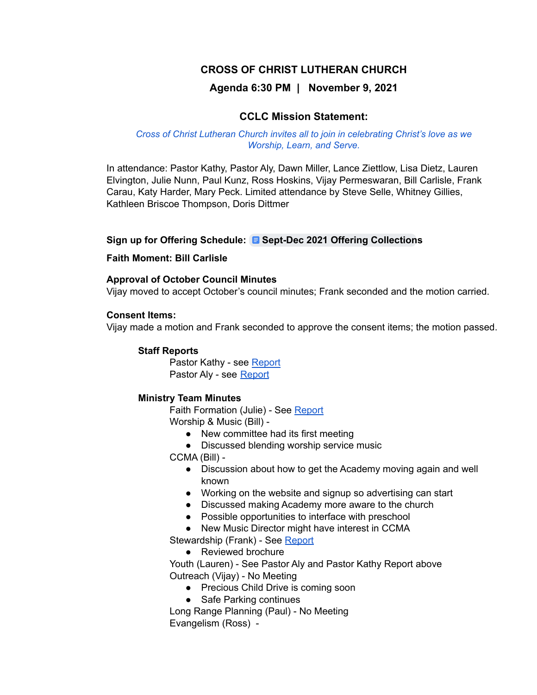# **CROSS OF CHRIST LUTHERAN CHURCH**

## **Agenda 6:30 PM | November 9, 2021**

### **CCLC Mission Statement:**

#### *Cross of Christ Lutheran Church invites all to join in celebrating Christ's love as we Worship, Learn, and Serve.*

In attendance: Pastor Kathy, Pastor Aly, Dawn Miller, Lance Ziettlow, Lisa Dietz, Lauren Elvington, Julie Nunn, Paul Kunz, Ross Hoskins, Vijay Permeswaran, Bill Carlisle, Frank Carau, Katy Harder, Mary Peck. Limited attendance by Steve Selle, Whitney Gillies, Kathleen Briscoe Thompson, Doris Dittmer

#### **Sign up for Offering Schedule: Sept-Dec 2021 Offering [Collection](https://docs.google.com/document/d/1zNCBLqesGXSCXoNwUEkVKVUrMAnENcT5sBfHu2lniGI/edit)s**

#### **Faith Moment: Bill Carlisle**

#### **Approval of October Council Minutes**

Vijay moved to accept October's council minutes; Frank seconded and the motion carried.

#### **Consent Items:**

Vijay made a motion and Frank seconded to approve the consent items; the motion passed.

#### **Staff Reports**

Pastor Kathy - see [Report](https://docs.google.com/document/d/1WyaACFNa_LFqQJJzF6yHTy7wOH6a6qr6/edit) Pastor Aly - see [Report](https://drive.google.com/drive/folders/19wUCNOomA8DBYaVyJLyV5dmzU3jwINBu)

### **Ministry Team Minutes**

Faith Formation (Julie) - See [Report](https://docs.google.com/document/d/1CBNBqIMSmySqYTCg0XjNZt9NNt0b_TES/edit) Worship & Music (Bill) -

- New committee had its first meeting
- Discussed blending worship service music

CCMA (Bill) -

- Discussion about how to get the Academy moving again and well known
- Working on the website and signup so advertising can start
- Discussed making Academy more aware to the church
- Possible opportunities to interface with preschool
- New Music Director might have interest in CCMA

Stewardship (Frank) - See [Report](https://docs.google.com/document/d/1FDkl_OEDjDls18qNCFKzN_JP91nzWKFW/edit)

● Reviewed brochure

Youth (Lauren) - See Pastor Aly and Pastor Kathy Report above Outreach (Vijay) - No Meeting

- Precious Child Drive is coming soon
- Safe Parking continues

Long Range Planning (Paul) - No Meeting Evangelism (Ross) -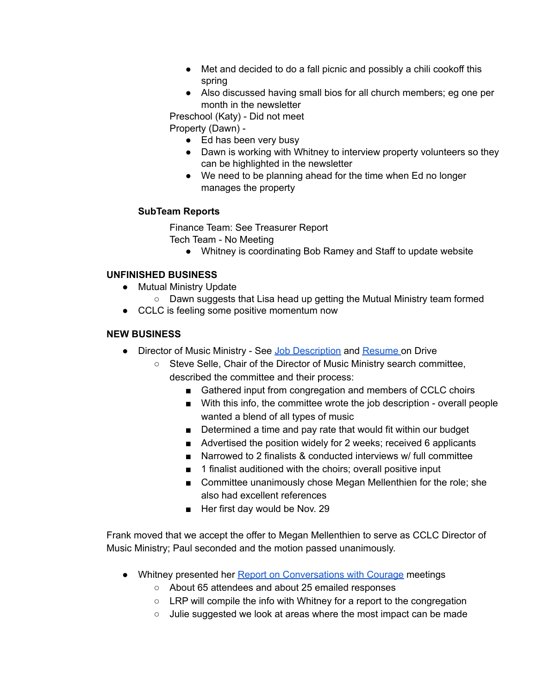- Met and decided to do a fall picnic and possibly a chili cookoff this spring
- Also discussed having small bios for all church members; eg one per month in the newsletter

Preschool (Katy) - Did not meet

Property (Dawn) -

- $\bullet$  Ed has been very busy
- Dawn is working with Whitney to interview property volunteers so they can be highlighted in the newsletter
- We need to be planning ahead for the time when Ed no longer manages the property

## **SubTeam Reports**

Finance Team: See Treasurer Report Tech Team - No Meeting

● Whitney is coordinating Bob Ramey and Staff to update website

## **UNFINISHED BUSINESS**

- Mutual Ministry Update
	- Dawn suggests that Lisa head up getting the Mutual Ministry team formed
- CCLC is feeling some positive momentum now

## **NEW BUSINESS**

- Director of Music Ministry See Job [Description](https://drive.google.com/drive/folders/19wUCNOomA8DBYaVyJLyV5dmzU3jwINBu) and [Resume](https://docs.google.com/document/d/1mK9Wdzhu3YvAmRz9i9jLvVc5ygR84gQG/edit) on Drive
	- Steve Selle, Chair of the Director of Music Ministry search committee, described the committee and their process:
		- Gathered input from congregation and members of CCLC choirs
		- With this info, the committee wrote the job description overall people wanted a blend of all types of music
		- Determined a time and pay rate that would fit within our budget
		- Advertised the position widely for 2 weeks; received 6 applicants
		- Narrowed to 2 finalists & conducted interviews w/ full committee
		- 1 finalist auditioned with the choirs; overall positive input
		- Committee unanimously chose Megan Mellenthien for the role; she also had excellent references
		- Her first day would be Nov. 29

Frank moved that we accept the offer to Megan Mellenthien to serve as CCLC Director of Music Ministry; Paul seconded and the motion passed unanimously.

- Whitney presented her Report on [Conversations](https://docs.google.com/spreadsheets/d/1MrtHhxZUCpUkdVdZnIU-abh3qH7O-vPi0BnqzwE0IfY/edit#gid=0) with Courage meetings
	- About 65 attendees and about 25 emailed responses
	- LRP will compile the info with Whitney for a report to the congregation
	- Julie suggested we look at areas where the most impact can be made